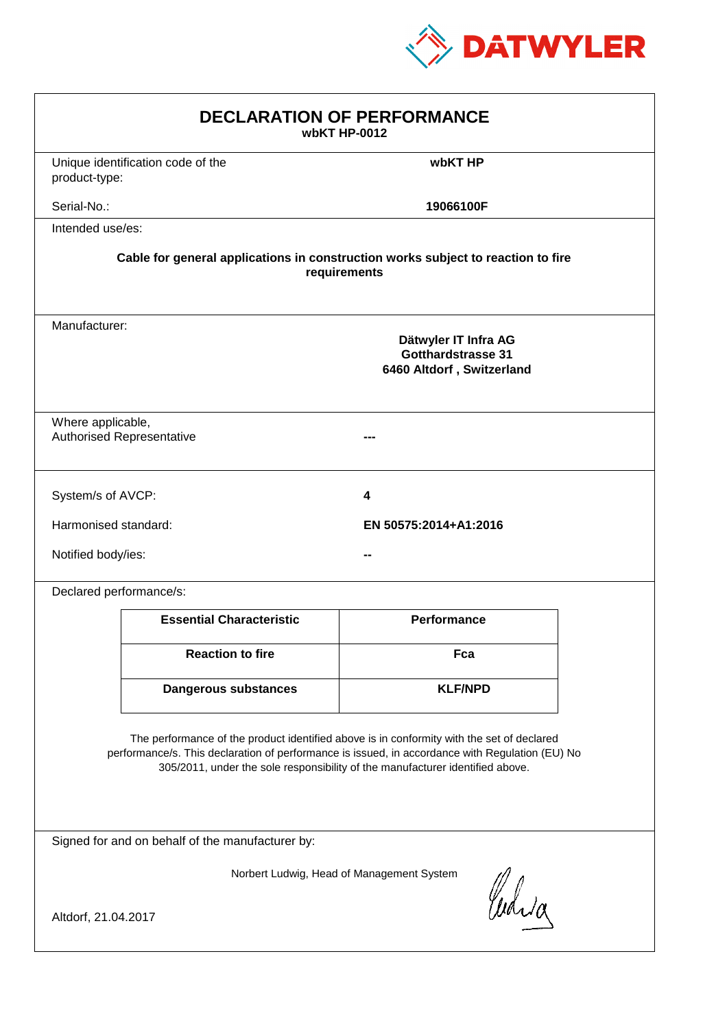

| <b>DECLARATION OF PERFORMANCE</b><br>wbKT HP-0012                                                                                                                                                                                                                             |                                                                                                 |                       |  |  |  |
|-------------------------------------------------------------------------------------------------------------------------------------------------------------------------------------------------------------------------------------------------------------------------------|-------------------------------------------------------------------------------------------------|-----------------------|--|--|--|
| product-type:                                                                                                                                                                                                                                                                 | Unique identification code of the                                                               | wbKT HP               |  |  |  |
| Serial-No.:                                                                                                                                                                                                                                                                   |                                                                                                 | 19066100F             |  |  |  |
| Intended use/es:                                                                                                                                                                                                                                                              |                                                                                                 |                       |  |  |  |
| Cable for general applications in construction works subject to reaction to fire<br>requirements                                                                                                                                                                              |                                                                                                 |                       |  |  |  |
|                                                                                                                                                                                                                                                                               | Manufacturer:<br>Dätwyler IT Infra AG<br><b>Gotthardstrasse 31</b><br>6460 Altdorf, Switzerland |                       |  |  |  |
|                                                                                                                                                                                                                                                                               | Where applicable,<br><b>Authorised Representative</b>                                           |                       |  |  |  |
| System/s of AVCP:                                                                                                                                                                                                                                                             |                                                                                                 | 4                     |  |  |  |
| Harmonised standard:                                                                                                                                                                                                                                                          |                                                                                                 | EN 50575:2014+A1:2016 |  |  |  |
| Notified body/ies:                                                                                                                                                                                                                                                            |                                                                                                 |                       |  |  |  |
| Declared performance/s:                                                                                                                                                                                                                                                       |                                                                                                 |                       |  |  |  |
|                                                                                                                                                                                                                                                                               | <b>Essential Characteristic</b>                                                                 | <b>Performance</b>    |  |  |  |
|                                                                                                                                                                                                                                                                               | <b>Reaction to fire</b>                                                                         | Fca                   |  |  |  |
|                                                                                                                                                                                                                                                                               | <b>Dangerous substances</b>                                                                     | <b>KLF/NPD</b>        |  |  |  |
| The performance of the product identified above is in conformity with the set of declared<br>performance/s. This declaration of performance is issued, in accordance with Regulation (EU) No<br>305/2011, under the sole responsibility of the manufacturer identified above. |                                                                                                 |                       |  |  |  |
| Signed for and on behalf of the manufacturer by:                                                                                                                                                                                                                              |                                                                                                 |                       |  |  |  |
| Norbert Ludwig, Head of Management System<br>Curia                                                                                                                                                                                                                            |                                                                                                 |                       |  |  |  |
| Altdorf, 21.04.2017                                                                                                                                                                                                                                                           |                                                                                                 |                       |  |  |  |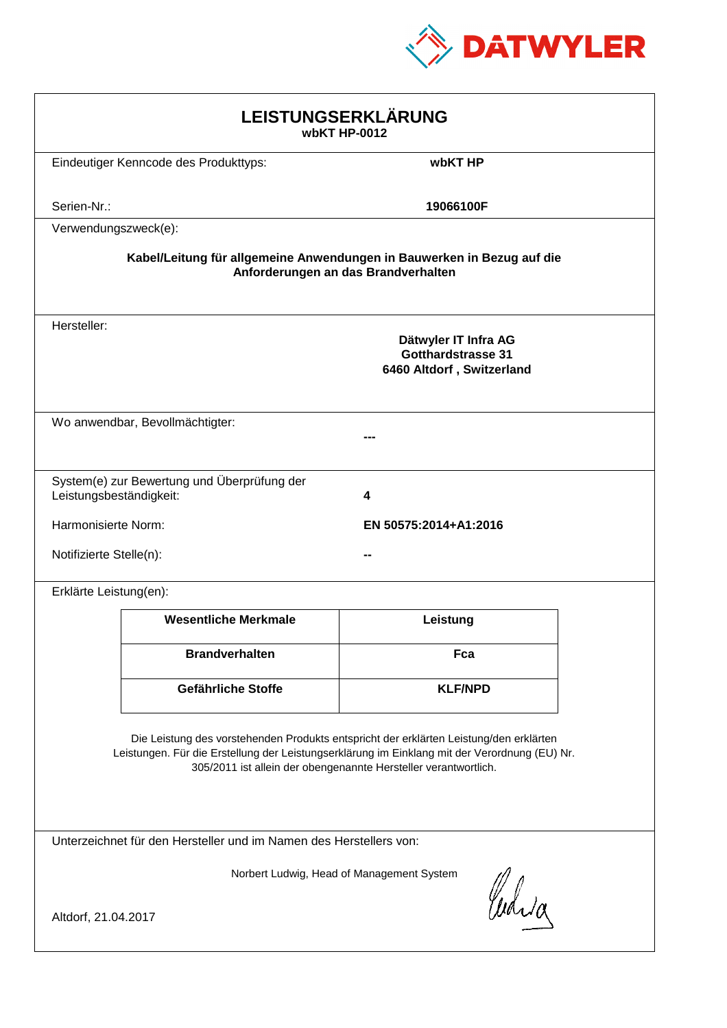

| LEISTUNGSERKLÄRUNG<br>wbKT HP-0012                                                                                                                                                                                                                         |                                              |                                                                                |  |  |
|------------------------------------------------------------------------------------------------------------------------------------------------------------------------------------------------------------------------------------------------------------|----------------------------------------------|--------------------------------------------------------------------------------|--|--|
|                                                                                                                                                                                                                                                            | Eindeutiger Kenncode des Produkttyps:        | wbKT HP                                                                        |  |  |
| Serien-Nr.:                                                                                                                                                                                                                                                |                                              | 19066100F                                                                      |  |  |
| Verwendungszweck(e):                                                                                                                                                                                                                                       |                                              |                                                                                |  |  |
| Kabel/Leitung für allgemeine Anwendungen in Bauwerken in Bezug auf die<br>Anforderungen an das Brandverhalten                                                                                                                                              |                                              |                                                                                |  |  |
| Hersteller:                                                                                                                                                                                                                                                |                                              | Dätwyler IT Infra AG<br><b>Gotthardstrasse 31</b><br>6460 Altdorf, Switzerland |  |  |
|                                                                                                                                                                                                                                                            | Wo anwendbar, Bevollmächtigter:              |                                                                                |  |  |
| Leistungsbeständigkeit:                                                                                                                                                                                                                                    | System(e) zur Bewertung und Überprüfung der  | 4                                                                              |  |  |
|                                                                                                                                                                                                                                                            | Harmonisierte Norm:<br>EN 50575:2014+A1:2016 |                                                                                |  |  |
|                                                                                                                                                                                                                                                            | Notifizierte Stelle(n):                      |                                                                                |  |  |
| Erklärte Leistung(en):                                                                                                                                                                                                                                     |                                              |                                                                                |  |  |
|                                                                                                                                                                                                                                                            | <b>Wesentliche Merkmale</b>                  | Leistung                                                                       |  |  |
|                                                                                                                                                                                                                                                            | <b>Brandverhalten</b>                        | Fca                                                                            |  |  |
|                                                                                                                                                                                                                                                            | Gefährliche Stoffe                           | <b>KLF/NPD</b>                                                                 |  |  |
| Die Leistung des vorstehenden Produkts entspricht der erklärten Leistung/den erklärten<br>Leistungen. Für die Erstellung der Leistungserklärung im Einklang mit der Verordnung (EU) Nr.<br>305/2011 ist allein der obengenannte Hersteller verantwortlich. |                                              |                                                                                |  |  |
| Unterzeichnet für den Hersteller und im Namen des Herstellers von:                                                                                                                                                                                         |                                              |                                                                                |  |  |
| Norbert Ludwig, Head of Management System                                                                                                                                                                                                                  |                                              |                                                                                |  |  |
| Curia<br>Altdorf, 21.04.2017                                                                                                                                                                                                                               |                                              |                                                                                |  |  |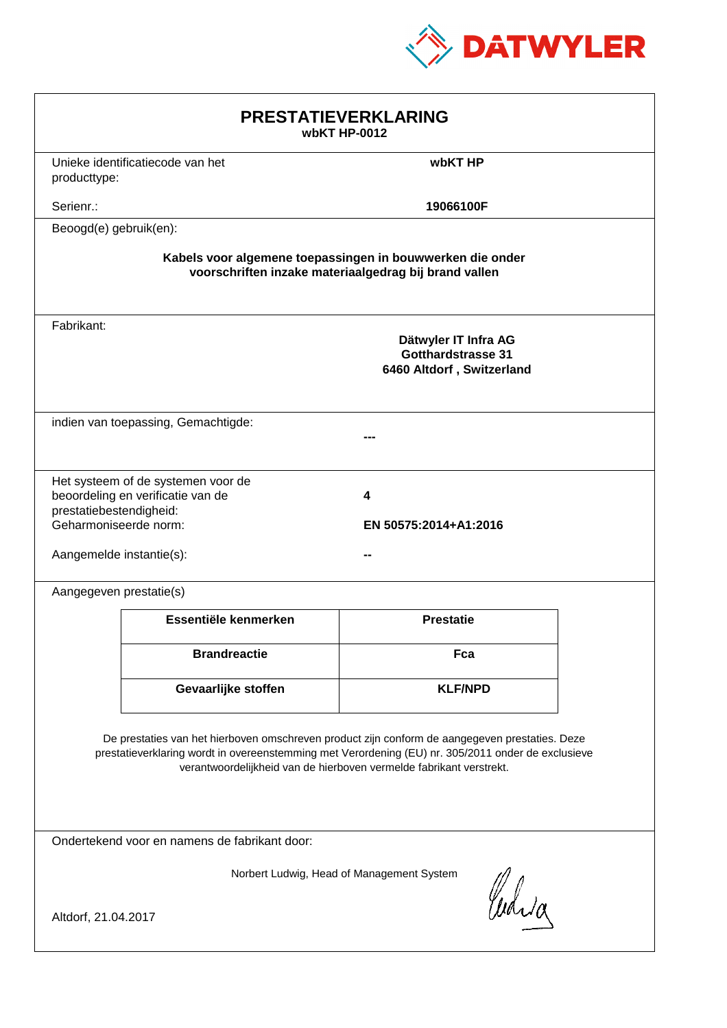

| <b>PRESTATIEVERKLARING</b><br>wbKT HP-0012                                                                                                                                                                                                                                  |                                                                         |                                                                                |  |  |
|-----------------------------------------------------------------------------------------------------------------------------------------------------------------------------------------------------------------------------------------------------------------------------|-------------------------------------------------------------------------|--------------------------------------------------------------------------------|--|--|
| producttype:                                                                                                                                                                                                                                                                | Unieke identificatiecode van het                                        | wbKT HP                                                                        |  |  |
| Serienr.:                                                                                                                                                                                                                                                                   |                                                                         | 19066100F                                                                      |  |  |
| Beoogd(e) gebruik(en):                                                                                                                                                                                                                                                      |                                                                         |                                                                                |  |  |
| Kabels voor algemene toepassingen in bouwwerken die onder<br>voorschriften inzake materiaalgedrag bij brand vallen                                                                                                                                                          |                                                                         |                                                                                |  |  |
| Fabrikant:                                                                                                                                                                                                                                                                  |                                                                         | Dätwyler IT Infra AG<br><b>Gotthardstrasse 31</b><br>6460 Altdorf, Switzerland |  |  |
|                                                                                                                                                                                                                                                                             | indien van toepassing, Gemachtigde:                                     |                                                                                |  |  |
| prestatiebestendigheid:<br>Geharmoniseerde norm:<br>Aangemelde instantie(s):                                                                                                                                                                                                | Het systeem of de systemen voor de<br>beoordeling en verificatie van de | 4<br>EN 50575:2014+A1:2016                                                     |  |  |
| Aangegeven prestatie(s)                                                                                                                                                                                                                                                     |                                                                         |                                                                                |  |  |
|                                                                                                                                                                                                                                                                             | Essentiële kenmerken                                                    | <b>Prestatie</b>                                                               |  |  |
|                                                                                                                                                                                                                                                                             | <b>Brandreactie</b>                                                     | Fca                                                                            |  |  |
|                                                                                                                                                                                                                                                                             | Gevaarlijke stoffen                                                     | <b>KLF/NPD</b>                                                                 |  |  |
| De prestaties van het hierboven omschreven product zijn conform de aangegeven prestaties. Deze<br>prestatieverklaring wordt in overeenstemming met Verordening (EU) nr. 305/2011 onder de exclusieve<br>verantwoordelijkheid van de hierboven vermelde fabrikant verstrekt. |                                                                         |                                                                                |  |  |
| Ondertekend voor en namens de fabrikant door:                                                                                                                                                                                                                               |                                                                         |                                                                                |  |  |
| Norbert Ludwig, Head of Management System<br>Curia<br>Altdorf, 21.04.2017                                                                                                                                                                                                   |                                                                         |                                                                                |  |  |
|                                                                                                                                                                                                                                                                             |                                                                         |                                                                                |  |  |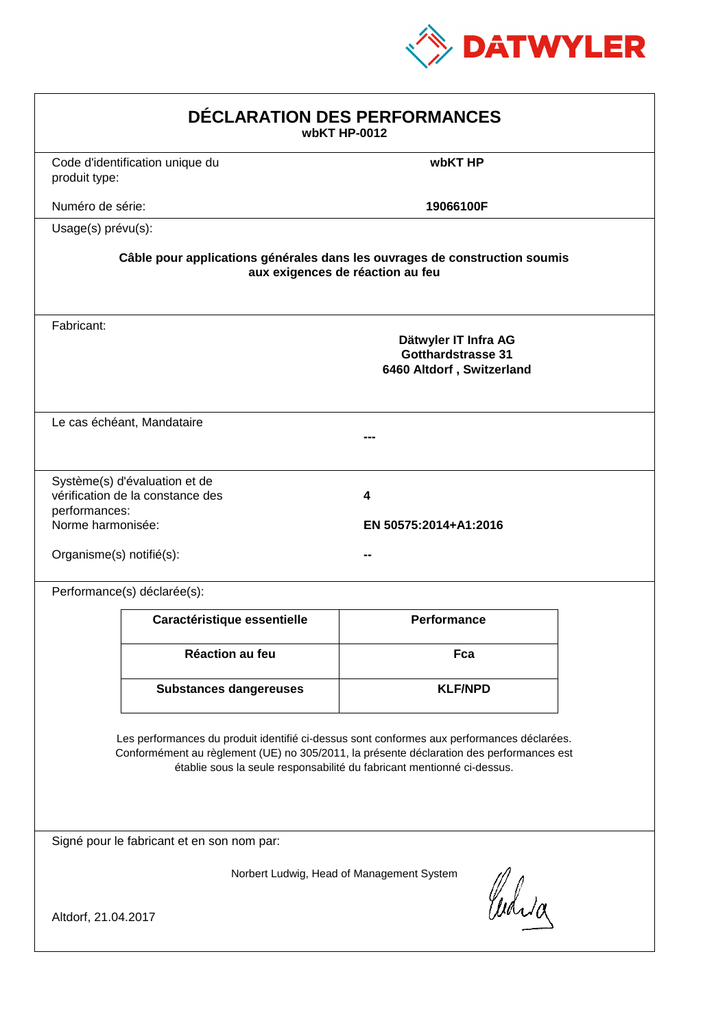

| DÉCLARATION DES PERFORMANCES<br>wbKT HP-0012                                                                                                                                                                                                                     |                                                                   |                                                                                                                |  |
|------------------------------------------------------------------------------------------------------------------------------------------------------------------------------------------------------------------------------------------------------------------|-------------------------------------------------------------------|----------------------------------------------------------------------------------------------------------------|--|
| produit type:                                                                                                                                                                                                                                                    | Code d'identification unique du                                   | wbKT HP                                                                                                        |  |
| Numéro de série:                                                                                                                                                                                                                                                 |                                                                   | 19066100F                                                                                                      |  |
| Usage(s) prévu(s):                                                                                                                                                                                                                                               |                                                                   |                                                                                                                |  |
|                                                                                                                                                                                                                                                                  |                                                                   | Câble pour applications générales dans les ouvrages de construction soumis<br>aux exigences de réaction au feu |  |
| Fabricant:                                                                                                                                                                                                                                                       |                                                                   | Dätwyler IT Infra AG<br><b>Gotthardstrasse 31</b><br>6460 Altdorf, Switzerland                                 |  |
|                                                                                                                                                                                                                                                                  | Le cas échéant, Mandataire                                        |                                                                                                                |  |
| performances:<br>Norme harmonisée:<br>Organisme(s) notifié(s):                                                                                                                                                                                                   | Système(s) d'évaluation et de<br>vérification de la constance des | 4<br>EN 50575:2014+A1:2016                                                                                     |  |
|                                                                                                                                                                                                                                                                  | Performance(s) déclarée(s):                                       |                                                                                                                |  |
|                                                                                                                                                                                                                                                                  | Caractéristique essentielle                                       | <b>Performance</b>                                                                                             |  |
|                                                                                                                                                                                                                                                                  | <b>Réaction au feu</b>                                            | Fca                                                                                                            |  |
|                                                                                                                                                                                                                                                                  | <b>Substances dangereuses</b>                                     | <b>KLF/NPD</b>                                                                                                 |  |
| Les performances du produit identifié ci-dessus sont conformes aux performances déclarées.<br>Conformément au règlement (UE) no 305/2011, la présente déclaration des performances est<br>établie sous la seule responsabilité du fabricant mentionné ci-dessus. |                                                                   |                                                                                                                |  |
|                                                                                                                                                                                                                                                                  | Signé pour le fabricant et en son nom par:                        |                                                                                                                |  |
| Altdorf, 21.04.2017                                                                                                                                                                                                                                              |                                                                   | Norbert Ludwig, Head of Management System<br>Curia                                                             |  |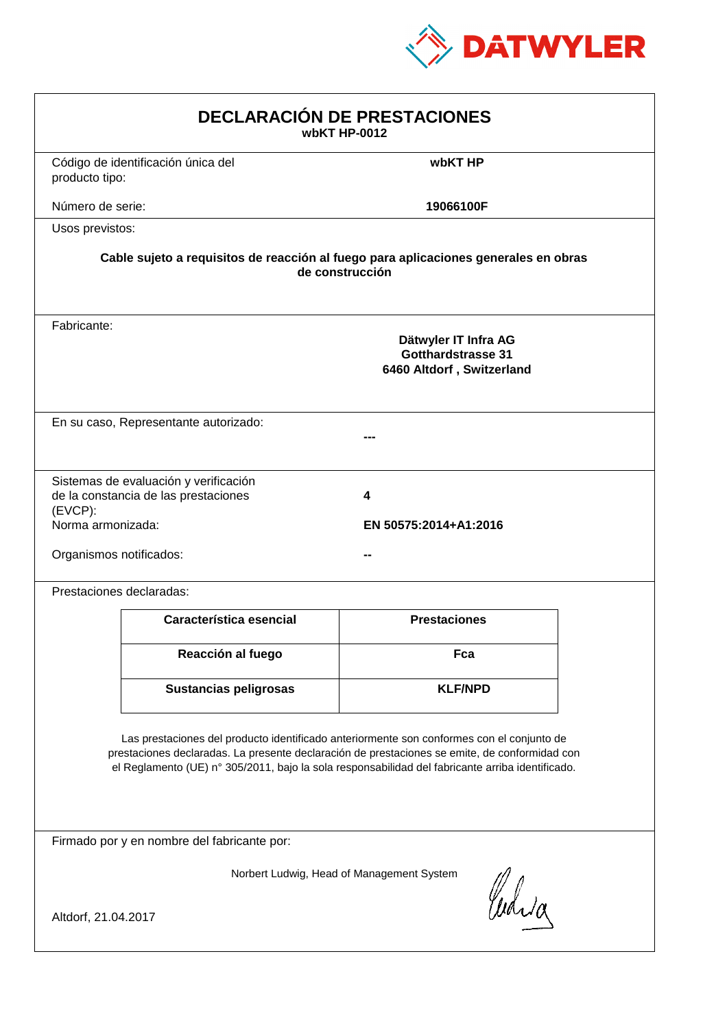

| <b>DECLARACIÓN DE PRESTACIONES</b><br>wbKT HP-0012                                                                                                                                                                                                                                             |                                                                                |                            |  |  |
|------------------------------------------------------------------------------------------------------------------------------------------------------------------------------------------------------------------------------------------------------------------------------------------------|--------------------------------------------------------------------------------|----------------------------|--|--|
| producto tipo:                                                                                                                                                                                                                                                                                 | Código de identificación única del                                             | wbKT HP                    |  |  |
| Número de serie:                                                                                                                                                                                                                                                                               |                                                                                | 19066100F                  |  |  |
| Usos previstos:                                                                                                                                                                                                                                                                                |                                                                                |                            |  |  |
| Cable sujeto a requisitos de reacción al fuego para aplicaciones generales en obras<br>de construcción                                                                                                                                                                                         |                                                                                |                            |  |  |
| Fabricante:                                                                                                                                                                                                                                                                                    | Dätwyler IT Infra AG<br><b>Gotthardstrasse 31</b><br>6460 Altdorf, Switzerland |                            |  |  |
|                                                                                                                                                                                                                                                                                                | En su caso, Representante autorizado:                                          |                            |  |  |
| $(EVCP)$ :<br>Norma armonizada:<br>Organismos notificados:                                                                                                                                                                                                                                     | Sistemas de evaluación y verificación<br>de la constancia de las prestaciones  | 4<br>EN 50575:2014+A1:2016 |  |  |
|                                                                                                                                                                                                                                                                                                | Prestaciones declaradas:                                                       |                            |  |  |
|                                                                                                                                                                                                                                                                                                | Característica esencial                                                        | <b>Prestaciones</b>        |  |  |
|                                                                                                                                                                                                                                                                                                | Reacción al fuego                                                              | Fca                        |  |  |
|                                                                                                                                                                                                                                                                                                | <b>Sustancias peligrosas</b>                                                   | <b>KLF/NPD</b>             |  |  |
| Las prestaciones del producto identificado anteriormente son conformes con el conjunto de<br>prestaciones declaradas. La presente declaración de prestaciones se emite, de conformidad con<br>el Reglamento (UE) nº 305/2011, bajo la sola responsabilidad del fabricante arriba identificado. |                                                                                |                            |  |  |
| Firmado por y en nombre del fabricante por:                                                                                                                                                                                                                                                    |                                                                                |                            |  |  |
| Norbert Ludwig, Head of Management System<br>Curia<br>Altdorf, 21.04.2017                                                                                                                                                                                                                      |                                                                                |                            |  |  |
|                                                                                                                                                                                                                                                                                                |                                                                                |                            |  |  |